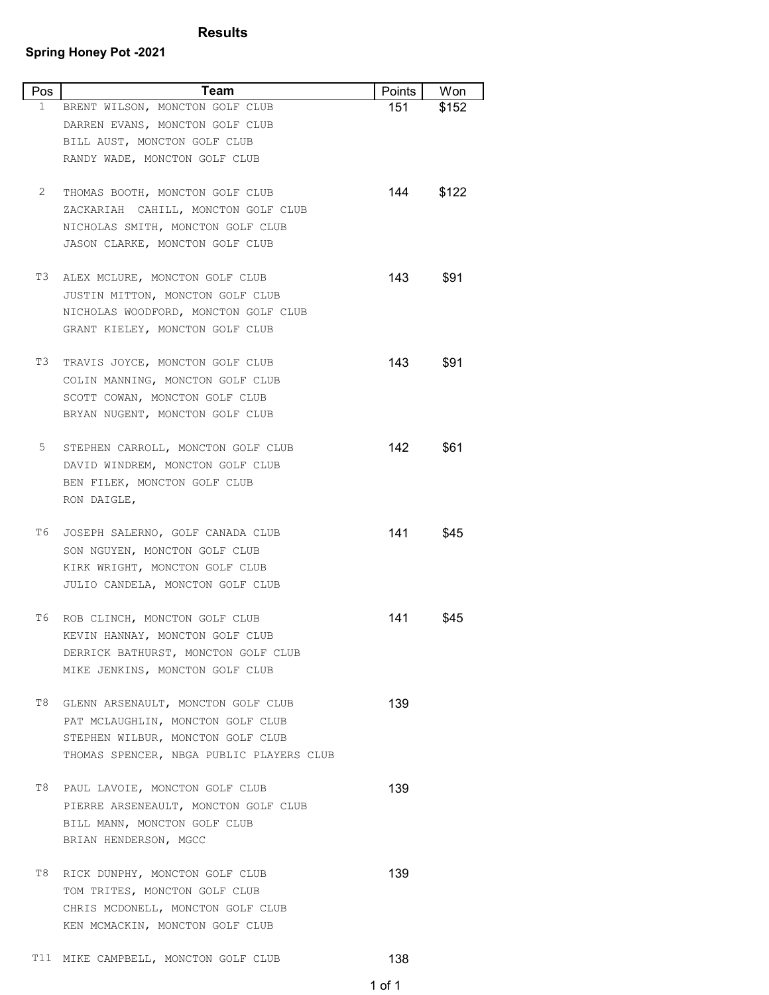## **Results**

## **Spring Honey Pot -2021**

| Pos | Team                                                            | Points | Won   |
|-----|-----------------------------------------------------------------|--------|-------|
| 1   | BRENT WILSON, MONCTON GOLF CLUB                                 | 151    | \$152 |
|     | DARREN EVANS, MONCTON GOLF CLUB                                 |        |       |
|     | BILL AUST, MONCTON GOLF CLUB                                    |        |       |
|     | RANDY WADE, MONCTON GOLF CLUB                                   |        |       |
| 2   | THOMAS BOOTH, MONCTON GOLF CLUB                                 | 144    | \$122 |
|     | ZACKARIAH CAHILL, MONCTON GOLF CLUB                             |        |       |
|     | NICHOLAS SMITH, MONCTON GOLF CLUB                               |        |       |
|     | JASON CLARKE, MONCTON GOLF CLUB                                 |        |       |
|     |                                                                 |        |       |
| T3  | ALEX MCLURE, MONCTON GOLF CLUB                                  | 143    | \$91  |
|     | JUSTIN MITTON, MONCTON GOLF CLUB                                |        |       |
|     | NICHOLAS WOODFORD, MONCTON GOLF CLUB                            |        |       |
|     | GRANT KIELEY, MONCTON GOLF CLUB                                 |        |       |
| T3  | TRAVIS JOYCE, MONCTON GOLF CLUB                                 | 143.   | \$91  |
|     | COLIN MANNING, MONCTON GOLF CLUB                                |        |       |
|     | SCOTT COWAN, MONCTON GOLF CLUB                                  |        |       |
|     | BRYAN NUGENT, MONCTON GOLF CLUB                                 |        |       |
|     |                                                                 |        |       |
| 5   | STEPHEN CARROLL, MONCTON GOLF CLUB                              | 142.   | \$61  |
|     | DAVID WINDREM, MONCTON GOLF CLUB                                |        |       |
|     | BEN FILEK, MONCTON GOLF CLUB                                    |        |       |
|     | RON DAIGLE,                                                     |        |       |
| Т6  | JOSEPH SALERNO, GOLF CANADA CLUB                                | 141    | \$45  |
|     | SON NGUYEN, MONCTON GOLF CLUB                                   |        |       |
|     | KIRK WRIGHT, MONCTON GOLF CLUB                                  |        |       |
|     | JULIO CANDELA, MONCTON GOLF CLUB                                |        |       |
|     |                                                                 |        |       |
| Т6  | ROB CLINCH, MONCTON GOLF CLUB                                   | 141    | \$45  |
|     | KEVIN HANNAY, MONCTON GOLF CLUB                                 |        |       |
|     | DERRICK BATHURST, MONCTON GOLF CLUB                             |        |       |
|     | MIKE JENKINS, MONCTON GOLF CLUB                                 |        |       |
| T8  | GLENN ARSENAULT, MONCTON GOLF CLUB                              | 139    |       |
|     | PAT MCLAUGHLIN, MONCTON GOLF CLUB                               |        |       |
|     | STEPHEN WILBUR, MONCTON GOLF CLUB                               |        |       |
|     | THOMAS SPENCER, NBGA PUBLIC PLAYERS CLUB                        |        |       |
|     |                                                                 |        |       |
| Τ8  | PAUL LAVOIE, MONCTON GOLF CLUB                                  | 139    |       |
|     | PIERRE ARSENEAULT, MONCTON GOLF CLUB                            |        |       |
|     | BILL MANN, MONCTON GOLF CLUB                                    |        |       |
|     | BRIAN HENDERSON, MGCC                                           |        |       |
| Τ8  |                                                                 | 139    |       |
|     | RICK DUNPHY, MONCTON GOLF CLUB<br>TOM TRITES, MONCTON GOLF CLUB |        |       |
|     | CHRIS MCDONELL, MONCTON GOLF CLUB                               |        |       |
|     | KEN MCMACKIN, MONCTON GOLF CLUB                                 |        |       |
|     |                                                                 |        |       |

T11 MIKE CAMPBELL, MONCTON GOLF CLUB
<sup>138</sup>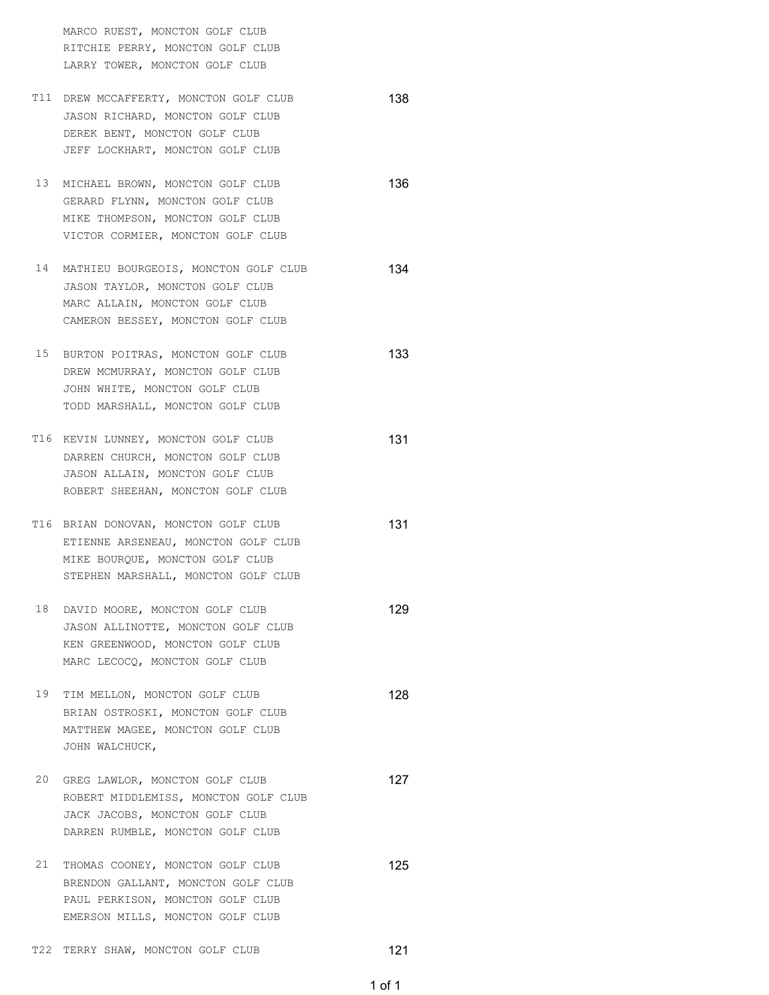MARCO RUEST, MONCTON GOLF CLUB RITCHIE PERRY, MONCTON GOLF CLUB LARRY TOWER, MONCTON GOLF CLUB

- T11 DREW MCCAFFERTY, MONCTON GOLF CLUB
<sup>138</sup> JASON RICHARD, MONCTON GOLF CLUB DEREK BENT, MONCTON GOLF CLUB JEFF LOCKHART, MONCTON GOLF CLUB
- 13 MICHAEL BROWN, MONCTON GOLF CLUB
<sup>136</sup> GERARD FLYNN, MONCTON GOLF CLUB MIKE THOMPSON, MONCTON GOLF CLUB VICTOR CORMIER, MONCTON GOLF CLUB
- 14 MATHIEU BOURGEOIS, MONCTON GOLF CLUB (134) JASON TAYLOR, MONCTON GOLF CLUB MARC ALLAIN, MONCTON GOLF CLUB CAMERON BESSEY, MONCTON GOLF CLUB
- 15 BURTON POITRAS, MONCTON GOLF CLUB
<sup>133</sup> DREW MCMURRAY, MONCTON GOLF CLUB JOHN WHITE, MONCTON GOLF CLUB TODD MARSHALL, MONCTON GOLF CLUB
- T16 KEVIN LUNNEY, MONCTON GOLF CLUB
<sup>131</sup> DARREN CHURCH, MONCTON GOLF CLUB JASON ALLAIN, MONCTON GOLF CLUB ROBERT SHEEHAN, MONCTON GOLF CLUB
- T16 BRIAN DONOVAN, MONCTON GOLF CLUB
<sup>131</sup> ETIENNE ARSENEAU, MONCTON GOLF CLUB MIKE BOURQUE, MONCTON GOLF CLUB STEPHEN MARSHALL, MONCTON GOLF CLUB
- 18 DAVID MOORE, MONCTON GOLF CLUB 129 JASON ALLINOTTE, MONCTON GOLF CLUB KEN GREENWOOD, MONCTON GOLF CLUB MARC LECOCQ, MONCTON GOLF CLUB
- 19 TIM MELLON, MONCTON GOLF CLUB<br>
128 BRIAN OSTROSKI, MONCTON GOLF CLUB MATTHEW MAGEE, MONCTON GOLF CLUB JOHN WALCHUCK,
- 20 GREG LAWLOR, MONCTON GOLF CLUB ROBERT MIDDLEMISS, MONCTON GOLF CLUB JACK JACOBS, MONCTON GOLF CLUB DARREN RUMBLE, MONCTON GOLF CLUB
- 21 THOMAS COONEY, MONCTON GOLF CLUB<br> **125** BRENDON GALLANT, MONCTON GOLF CLUB PAUL PERKISON, MONCTON GOLF CLUB EMERSON MILLS, MONCTON GOLF CLUB
- T22 TERRY SHAW, MONCTON GOLF CLUB<br>
121

1 of 1